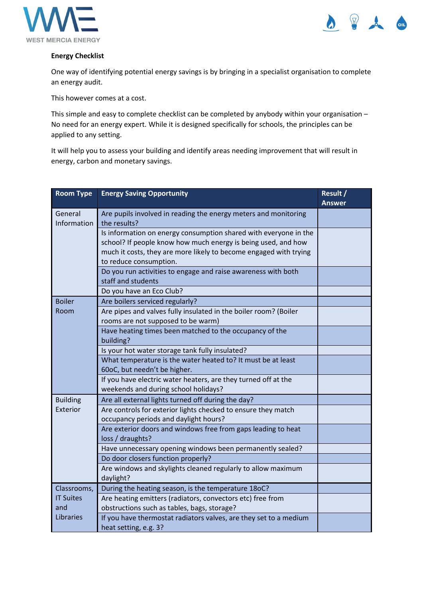



## **Energy Checklist**

One way of identifying potential energy savings is by bringing in a specialist organisation to complete an energy audit.

This however comes at a cost.

This simple and easy to complete checklist can be completed by anybody within your organisation – No need for an energy expert. While it is designed specifically for schools, the principles can be applied to any setting.

It will help you to assess your building and identify areas needing improvement that will result in energy, carbon and monetary savings.

| <b>Room Type</b>        | <b>Energy Saving Opportunity</b>                                                                                                                                                                                                 | Result /<br><b>Answer</b> |
|-------------------------|----------------------------------------------------------------------------------------------------------------------------------------------------------------------------------------------------------------------------------|---------------------------|
| General<br>Information  | Are pupils involved in reading the energy meters and monitoring<br>the results?                                                                                                                                                  |                           |
|                         | Is information on energy consumption shared with everyone in the<br>school? If people know how much energy is being used, and how<br>much it costs, they are more likely to become engaged with trying<br>to reduce consumption. |                           |
|                         | Do you run activities to engage and raise awareness with both<br>staff and students                                                                                                                                              |                           |
|                         | Do you have an Eco Club?                                                                                                                                                                                                         |                           |
| <b>Boiler</b>           | Are boilers serviced regularly?                                                                                                                                                                                                  |                           |
| Room                    | Are pipes and valves fully insulated in the boiler room? (Boiler<br>rooms are not supposed to be warm)                                                                                                                           |                           |
|                         | Have heating times been matched to the occupancy of the<br>building?                                                                                                                                                             |                           |
|                         | Is your hot water storage tank fully insulated?                                                                                                                                                                                  |                           |
|                         | What temperature is the water heated to? It must be at least<br>60oC, but needn't be higher.                                                                                                                                     |                           |
|                         | If you have electric water heaters, are they turned off at the<br>weekends and during school holidays?                                                                                                                           |                           |
| <b>Building</b>         | Are all external lights turned off during the day?                                                                                                                                                                               |                           |
| Exterior                | Are controls for exterior lights checked to ensure they match<br>occupancy periods and daylight hours?                                                                                                                           |                           |
|                         | Are exterior doors and windows free from gaps leading to heat<br>loss / draughts?                                                                                                                                                |                           |
|                         | Have unnecessary opening windows been permanently sealed?                                                                                                                                                                        |                           |
|                         | Do door closers function properly?                                                                                                                                                                                               |                           |
|                         | Are windows and skylights cleaned regularly to allow maximum<br>daylight?                                                                                                                                                        |                           |
| Classrooms,             | During the heating season, is the temperature 18oC?                                                                                                                                                                              |                           |
| <b>IT Suites</b><br>and | Are heating emitters (radiators, convectors etc) free from<br>obstructions such as tables, bags, storage?                                                                                                                        |                           |
| <b>Libraries</b>        | If you have thermostat radiators valves, are they set to a medium<br>heat setting, e.g. 3?                                                                                                                                       |                           |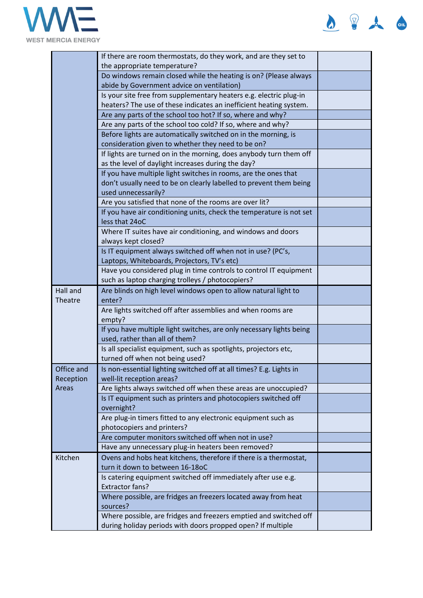

| Ω<br>$\boldsymbol{\omega}$<br>≖<br>$=$ |  | $\Omega$ |
|----------------------------------------|--|----------|
|----------------------------------------|--|----------|

|                                  | If there are room thermostats, do they work, and are they set to                                               |  |
|----------------------------------|----------------------------------------------------------------------------------------------------------------|--|
|                                  | the appropriate temperature?                                                                                   |  |
|                                  | Do windows remain closed while the heating is on? (Please always<br>abide by Government advice on ventilation) |  |
|                                  | Is your site free from supplementary heaters e.g. electric plug-in                                             |  |
|                                  | heaters? The use of these indicates an inefficient heating system.                                             |  |
|                                  | Are any parts of the school too hot? If so, where and why?                                                     |  |
|                                  | Are any parts of the school too cold? If so, where and why?                                                    |  |
|                                  | Before lights are automatically switched on in the morning, is                                                 |  |
|                                  | consideration given to whether they need to be on?                                                             |  |
|                                  | If lights are turned on in the morning, does anybody turn them off                                             |  |
|                                  | as the level of daylight increases during the day?                                                             |  |
|                                  | If you have multiple light switches in rooms, are the ones that                                                |  |
|                                  | don't usually need to be on clearly labelled to prevent them being                                             |  |
|                                  | used unnecessarily?                                                                                            |  |
|                                  | Are you satisfied that none of the rooms are over lit?                                                         |  |
|                                  | If you have air conditioning units, check the temperature is not set                                           |  |
|                                  | less that 24oC                                                                                                 |  |
|                                  | Where IT suites have air conditioning, and windows and doors                                                   |  |
|                                  | always kept closed?                                                                                            |  |
|                                  | Is IT equipment always switched off when not in use? (PC's,                                                    |  |
|                                  | Laptops, Whiteboards, Projectors, TV's etc)                                                                    |  |
|                                  | Have you considered plug in time controls to control IT equipment                                              |  |
| Hall and                         | such as laptop charging trolleys / photocopiers?                                                               |  |
| Theatre                          | Are blinds on high level windows open to allow natural light to<br>enter?                                      |  |
|                                  | Are lights switched off after assemblies and when rooms are                                                    |  |
|                                  | empty?                                                                                                         |  |
|                                  | If you have multiple light switches, are only necessary lights being                                           |  |
|                                  | used, rather than all of them?                                                                                 |  |
|                                  | Is all specialist equipment, such as spotlights, projectors etc,                                               |  |
|                                  | turned off when not being used?                                                                                |  |
| Office and<br>Reception<br>Areas | Is non-essential lighting switched off at all times? E.g. Lights in                                            |  |
|                                  | well-lit reception areas?                                                                                      |  |
|                                  | Are lights always switched off when these areas are unoccupied?                                                |  |
|                                  | Is IT equipment such as printers and photocopiers switched off                                                 |  |
|                                  | overnight?                                                                                                     |  |
|                                  | Are plug-in timers fitted to any electronic equipment such as                                                  |  |
|                                  | photocopiers and printers?                                                                                     |  |
|                                  | Are computer monitors switched off when not in use?                                                            |  |
|                                  | Have any unnecessary plug-in heaters been removed?                                                             |  |
| Kitchen                          | Ovens and hobs heat kitchens, therefore if there is a thermostat,<br>turn it down to between 16-18oC           |  |
|                                  | Is catering equipment switched off immediately after use e.g.                                                  |  |
|                                  | <b>Extractor fans?</b>                                                                                         |  |
|                                  | Where possible, are fridges an freezers located away from heat                                                 |  |
|                                  | sources?                                                                                                       |  |
|                                  | Where possible, are fridges and freezers emptied and switched off                                              |  |
|                                  | during holiday periods with doors propped open? If multiple                                                    |  |